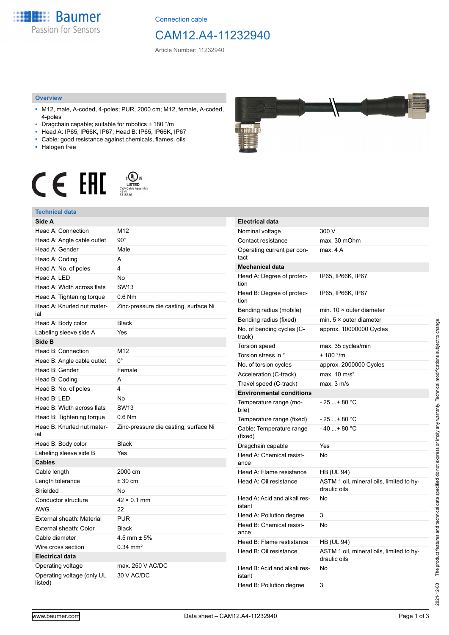

Connection cable

## CAM12.A4-11232940

Article Number: 11232940

#### **Overview**

- M12, male, A-coded, 4-poles; PUR, 2000 cm; M12, female, A-coded, 4-poles
- Dragchain capable; suitable for robotics ± 180 °/m
- Head A: IP65, IP66K, IP67; Head B: IP65, IP66K, IP67
- Cable: good resistance against chemicals, flames, oils
- Halogen free



### **Technical data**

| Side A                                |                                       |
|---------------------------------------|---------------------------------------|
| Head A: Connection                    | M12                                   |
| Head A: Angle cable outlet            | $90^{\circ}$                          |
| Head A: Gender                        | Male                                  |
| Head A: Coding                        | A                                     |
| Head A: No. of poles                  | 4                                     |
| Head A: LED                           | No                                    |
| Head A: Width across flats            | <b>SW13</b>                           |
| Head A: Tightening torque             | $0.6$ Nm                              |
| Head A: Knurled nut mater-<br>ial     | Zinc-pressure die casting, surface Ni |
| Head A: Body color                    | <b>Black</b>                          |
| Labeling sleeve side A                | Yes                                   |
| Side B                                |                                       |
| Head B: Connection                    | M12                                   |
| Head B: Angle cable outlet            | $0^{\circ}$                           |
| Head B: Gender                        | Female                                |
| Head B: Coding                        | A                                     |
| Head B: No. of poles                  | 4                                     |
| Head B: LED                           | No                                    |
| Head B: Width across flats            | <b>SW13</b>                           |
| Head B: Tightening torque             | $0.6$ Nm                              |
| Head B: Knurled nut mater-<br>ial     | Zinc-pressure die casting, surface Ni |
| Head B: Body color                    | <b>Black</b>                          |
| Labeling sleeve side B                | Yes                                   |
| <b>Cables</b>                         |                                       |
| Cable length                          | 2000 cm                               |
| Length tolerance                      | ± 30 cm                               |
| Shielded                              | No                                    |
| Conductor structure                   | $42 \times 0.1$ mm                    |
| <b>AWG</b>                            | 22                                    |
| External sheath: Material             | <b>PUR</b>                            |
| External sheath: Color                | <b>Black</b>                          |
| Cable diameter                        | $4.5$ mm $\pm 5\%$                    |
| Wire cross section                    | $0.34$ mm <sup>2</sup>                |
| <b>Electrical data</b>                |                                       |
| Operating voltage                     | max. 250 V AC/DC                      |
| Operating voltage (only UL<br>listed) | 30 V AC/DC                            |



| <b>Electrical data</b>                 |                                                          |
|----------------------------------------|----------------------------------------------------------|
| Nominal voltage                        | 300 V                                                    |
| Contact resistance                     | max. 30 mOhm                                             |
| Operating current per con-<br>tact     | max. 4 A                                                 |
| <b>Mechanical data</b>                 |                                                          |
| Head A: Degree of protec-<br>tion      | IP65, IP66K, IP67                                        |
| Head B: Degree of protec-<br>tion      | IP65, IP66K, IP67                                        |
| Bending radius (mobile)                | min. $10 \times$ outer diameter                          |
| Bending radius (fixed)                 | min. $5 \times$ outer diameter                           |
| No. of bending cycles (C-<br>track)    | approx. 10000000 Cycles                                  |
| <b>Torsion speed</b>                   | max. 35 cycles/min                                       |
| Torsion stress in °                    | ± 180 °/m                                                |
| No. of torsion cycles                  | approx. 2000000 Cycles                                   |
| Acceleration (C-track)                 | max. $10 \text{ m/s}^2$                                  |
| Travel speed (C-track)                 | max. 3 m/s                                               |
| <b>Environmental conditions</b>        |                                                          |
| Temperature range (mo-<br>bile)        | - 25 + 80 °C                                             |
| Temperature range (fixed)              | $-25+80 °C$                                              |
| Cable: Temperature range<br>(fixed)    | - 40 + 80 °C                                             |
| Dragchain capable                      | Yes                                                      |
| Head A: Chemical resist-<br>ance       | No                                                       |
| Head A: Flame resistance               | <b>HB (UL 94)</b>                                        |
| Head A: Oil resistance                 | ASTM 1 oil, mineral oils, limited to hy-<br>draulic oils |
| Head A: Acid and alkali res-<br>istant | No                                                       |
| Head A: Pollution degree               | 3                                                        |
| Head B: Chemical resist-<br>ance       | No                                                       |
| Head B: Flame restistance              | HB (UL 94)                                               |
| Head B: Oil resistance                 | ASTM 1 oil, mineral oils, limited to hy-<br>draulic oils |
| Head B: Acid and alkali res-<br>istant | N٥                                                       |
| Head B: Pollution degree               | 3                                                        |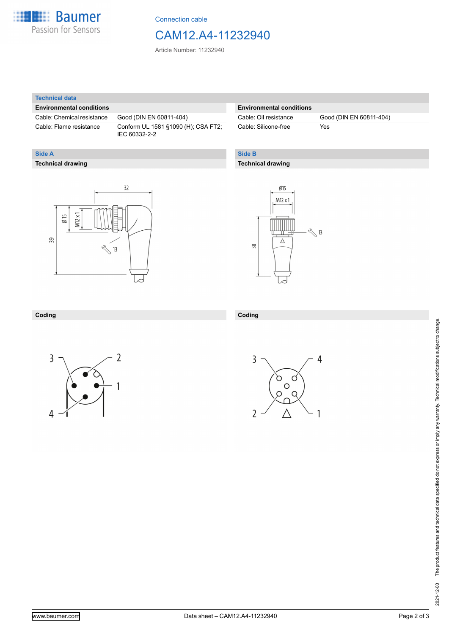

Connection cable

## CAM12.A4-11232940

Article Number: 11232940

#### **Technical data**

**Technical drawing**

**Side A**

#### **Environmental conditions**

Cable: Chemical resistance Good (DIN EN 60811-404)

Cable: Flame resistance Conform UL 1581 §1090 (H); CSA FT2; IEC 60332-2-2

#### **Environmental conditions**

Cable: Silicone-free Yes

Cable: Oil resistance Good (DIN EN 60811-404)

#### **Side B**

**Coding**

#### **Technical drawing**

# $32$  $M12x1$  $\emptyset$  15 39  $\sqrt[3]{13}$



#### **Coding**